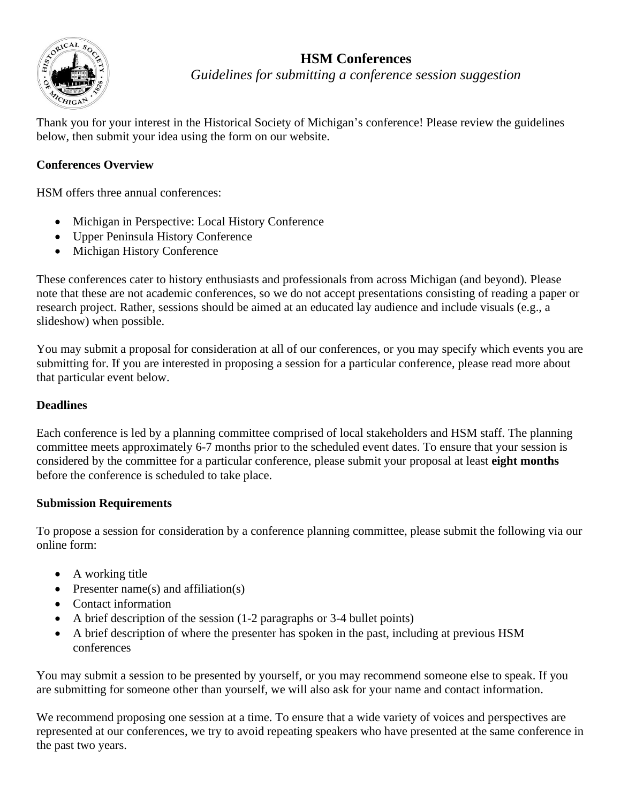

# **HSM Conferences**

*Guidelines for submitting a conference session suggestion*

Thank you for your interest in the Historical Society of Michigan's conference! Please review the guidelines below, then submit your idea using the form on our website.

## **Conferences Overview**

HSM offers three annual conferences:

- Michigan in Perspective: Local History Conference
- Upper Peninsula History Conference
- Michigan History Conference

These conferences cater to history enthusiasts and professionals from across Michigan (and beyond). Please note that these are not academic conferences, so we do not accept presentations consisting of reading a paper or research project. Rather, sessions should be aimed at an educated lay audience and include visuals (e.g., a slideshow) when possible.

You may submit a proposal for consideration at all of our conferences, or you may specify which events you are submitting for. If you are interested in proposing a session for a particular conference, please read more about that particular event below.

#### **Deadlines**

Each conference is led by a planning committee comprised of local stakeholders and HSM staff. The planning committee meets approximately 6-7 months prior to the scheduled event dates. To ensure that your session is considered by the committee for a particular conference, please submit your proposal at least **eight months** before the conference is scheduled to take place.

### **Submission Requirements**

To propose a session for consideration by a conference planning committee, please submit the following via our online form:

- A working title
- Presenter name(s) and affiliation(s)
- Contact information
- A brief description of the session (1-2 paragraphs or 3-4 bullet points)
- A brief description of where the presenter has spoken in the past, including at previous HSM conferences

You may submit a session to be presented by yourself, or you may recommend someone else to speak. If you are submitting for someone other than yourself, we will also ask for your name and contact information.

We recommend proposing one session at a time. To ensure that a wide variety of voices and perspectives are represented at our conferences, we try to avoid repeating speakers who have presented at the same conference in the past two years.